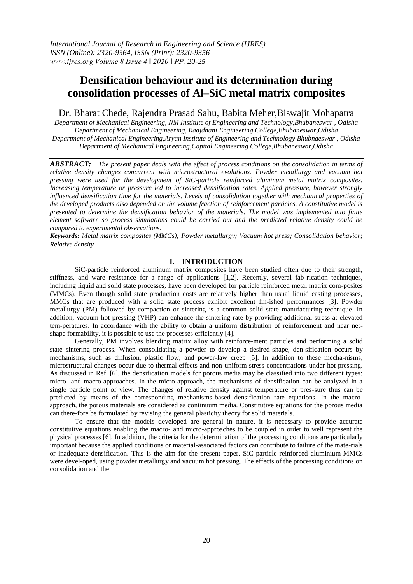# **Densification behaviour and its determination during consolidation processes of Al–SiC metal matrix composites**

# Dr. Bharat Chede, Rajendra Prasad Sahu, Babita Meher,Biswajit Mohapatra

*Department of Mechanical Engineering, NM Institute of Engineering and Technology,Bhubaneswar , Odisha Department of Mechanical Engineering, Raajdhani Engineering College,Bhubaneswar,Odisha Department of Mechanical Engineering,Aryan Institute of Engineering and Technology Bhubnaeswar , Odisha Department of Mechanical Engineering,Capital Engineering College,Bhubaneswar,Odisha*

*ABSTRACT: The present paper deals with the effect of process conditions on the consolidation in terms of relative density changes concurrent with microstructural evolutions. Powder metallurgy and vacuum hot pressing were used for the development of SiC-particle reinforced aluminum metal matrix composites. Increasing temperature or pressure led to increased densification rates. Applied pressure, however strongly influenced densification time for the materials. Levels of consolidation together with mechanical properties of the developed products also depended on the volume fraction of reinforcement particles. A constitutive model is presented to determine the densification behavior of the materials. The model was implemented into finite element software so process simulations could be carried out and the predicted relative density could be compared to experimental observations.*

*Keywords: Metal matrix composites (MMCs); Powder metallurgy; Vacuum hot press; Consolidation behavior; Relative density*

## **I. INTRODUCTION**

SiC-particle reinforced aluminum matrix composites have been studied often due to their strength, stiffness, and ware resistance for a range of applications [1,2]. Recently, several fab-rication techniques, including liquid and solid state processes, have been developed for particle reinforced metal matrix com-posites (MMCs). Even though solid state production costs are relatively higher than usual liquid casting processes, MMCs that are produced with a solid state process exhibit excellent fin-ished performances [3]. Powder metallurgy (PM) followed by compaction or sintering is a common solid state manufacturing technique. In addition, vacuum hot pressing (VHP) can enhance the sintering rate by providing additional stress at elevated tem-peratures. In accordance with the ability to obtain a uniform distribution of reinforcement and near netshape formability, it is possible to use the processes efficiently [4].

Generally, PM involves blending matrix alloy with reinforce-ment particles and performing a solid state sintering process. When consolidating a powder to develop a desired-shape, den-sification occurs by mechanisms, such as diffusion, plastic flow, and power-law creep [5]. In addition to these mecha-nisms, microstructural changes occur due to thermal effects and non-uniform stress concentrations under hot pressing. As discussed in Ref. [6], the densification models for porous media may be classified into two different types: micro- and macro-approaches. In the micro-approach, the mechanisms of densification can be analyzed in a single particle point of view. The changes of relative density against temperature or pres-sure thus can be predicted by means of the corresponding mechanisms-based densification rate equations. In the macroapproach, the porous materials are considered as continuum media. Constitutive equations for the porous media can there-fore be formulated by revising the general plasticity theory for solid materials.

To ensure that the models developed are general in nature, it is necessary to provide accurate constitutive equations enabling the macro- and micro-approaches to be coupled in order to well represent the physical processes [6]. In addition, the criteria for the determination of the processing conditions are particularly important because the applied conditions or material-associated factors can contribute to failure of the mate-rials or inadequate densification. This is the aim for the present paper. SiC-particle reinforced aluminium-MMCs were devel-oped, using powder metallurgy and vacuum hot pressing. The effects of the processing conditions on consolidation and the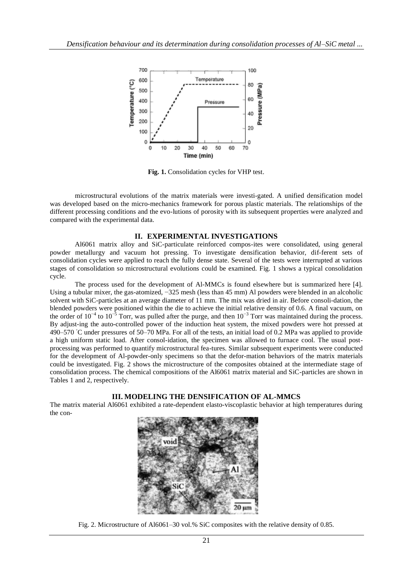

**Fig. 1.** Consolidation cycles for VHP test.

microstructural evolutions of the matrix materials were investi-gated. A unified densification model was developed based on the micro-mechanics framework for porous plastic materials. The relationships of the different processing conditions and the evo-lutions of porosity with its subsequent properties were analyzed and compared with the experimental data.

## **II. EXPERIMENTAL INVESTIGATIONS**

Al6061 matrix alloy and SiC-particulate reinforced compos-ites were consolidated, using general powder metallurgy and vacuum hot pressing. To investigate densification behavior, dif-ferent sets of consolidation cycles were applied to reach the fully dense state. Several of the tests were interrupted at various stages of consolidation so microstructural evolutions could be examined. Fig. 1 shows a typical consolidation cycle.

The process used for the development of Al-MMCs is found elsewhere but is summarized here [4]. Using a tubular mixer, the gas-atomized, −325 mesh (less than 45 mm) Al powders were blended in an alcoholic solvent with SiC-particles at an average diameter of 11 mm. The mix was dried in air. Before consoli-dation, the blended powders were positioned within the die to achieve the initial relative density of 0.6. A final vacuum, on the order of  $10^{-4}$  to  $10^{-5}$  Torr, was pulled after the purge, and then  $10^{-3}$  Torr was maintained during the process. By adjust-ing the auto-controlled power of the induction heat system, the mixed powders were hot pressed at 490–570 °C under pressures of 50–70 MPa. For all of the tests, an initial load of 0.2 MPa was applied to provide a high uniform static load. After consol-idation, the specimen was allowed to furnace cool. The usual postprocessing was performed to quantify microstructural fea-tures. Similar subsequent experiments were conducted for the development of Al-powder-only specimens so that the defor-mation behaviors of the matrix materials could be investigated. Fig. 2 shows the microstructure of the composites obtained at the intermediate stage of consolidation process. The chemical compositions of the Al6061 matrix material and SiC-particles are shown in Tables 1 and 2, respectively.

# **III. MODELING THE DENSIFICATION OF AL-MMCS**

The matrix material Al6061 exhibited a rate-dependent elasto-viscoplastic behavior at high temperatures during the con-



Fig. 2. Microstructure of Al6061–30 vol.% SiC composites with the relative density of 0.85.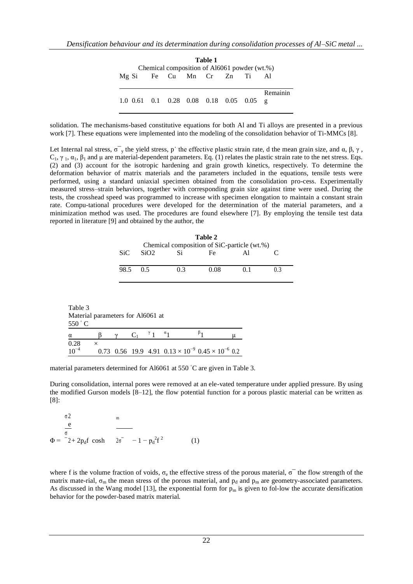| Table 1<br>Chemical composition of Al6061 powder (wt.%) |  |  |  |  |  |  |          |
|---------------------------------------------------------|--|--|--|--|--|--|----------|
| Mg Si Fe Cu Mn Cr Zn Ti                                 |  |  |  |  |  |  | Al       |
| 1.0 0.61 0.1 0.28 0.08 0.18 0.05 0.05 g                 |  |  |  |  |  |  | Remainin |

solidation. The mechanisms-based constitutive equations for both Al and Ti alloys are presented in a previous work [7]. These equations were implemented into the modeling of the consolidation behavior of Ti-MMCs [8].

Let Internal nal stress,  $\sigma$ <sup>-</sup><sub>y</sub> the yield stress, p<sup>·</sup> the effective plastic strain rate, d the mean grain size, and  $\alpha$ ,  $\beta$ ,  $\gamma$ ,  $C_1$ , γ<sub>1</sub>, α<sub>1</sub>, β<sub>1</sub> and μ are material-dependent parameters. Eq. (1) relates the plastic strain rate to the net stress. Eqs. (2) and (3) account for the isotropic hardening and grain growth kinetics, respectively. To determine the deformation behavior of matrix materials and the parameters included in the equations, tensile tests were performed, using a standard uniaxial specimen obtained from the consolidation pro-cess. Experimentally measured stress–strain behaviors, together with corresponding grain size against time were used. During the tests, the crosshead speed was programmed to increase with specimen elongation to maintain a constant strain rate. Compu-tational procedures were developed for the determination of the material parameters, and a minimization method was used. The procedures are found elsewhere [7]. By employing the tensile test data reported in literature [9] and obtained by the author, the

| Table 2<br>Chemical composition of SiC-particle (wt.%) |      |     |      |                |    |  |
|--------------------------------------------------------|------|-----|------|----------------|----|--|
| <b>SiC</b>                                             | SiO2 | Si  | Fe   |                |    |  |
| 98.5                                                   | 0.5  | 0.3 | 0.08 | 0 <sup>1</sup> | 03 |  |

<span id="page-2-0"></span>Table 3 Material parameters for Al6061 at 550 ◦ C  $\alpha$  β γ C<sub>1</sub>  $^{\gamma}$  1  $\alpha_1$  $\beta_1$ 1 μ  $0.28 \times$  $10^{-4}$ 0.73 [0.56](#page-2-0) 19.9 4.91  $0.13 \times 10^{-9}$   $0.45 \times 10^{-6}$  0.2

material parameters determined for Al6061 at 550 °C are given in Table 3.

During consolidation, internal pores were removed at an ele-vated temperature under applied pressure. By using the modified Gurson models [8–12], the flow potential function for a porous plastic material can be written as [8]:

σ 2  $\Phi = -2 + 2p_d f \cosh \theta^2 - 1 - p_d^2 f^2$ m e (1) σ

where f is the volume fraction of voids,  $\sigma_e$  the effective stress of the porous material,  $\sigma^-$  the flow strength of the matrix mate-rial,  $\sigma_m$  the mean stress of the porous material, and  $p_d$  and  $p_m$  are geometry-associated parameters. As discussed in the Wang model [13], the exponential form for  $p_m$  is given to fol-low the accurate densification behavior for the powder-based matrix material.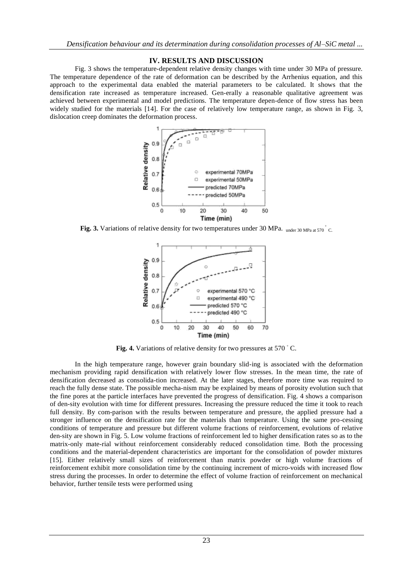### **IV. RESULTS AND DISCUSSION**

Fig. 3 shows the temperature-dependent relative density changes with time under 30 MPa of pressure. The temperature dependence of the rate of deformation can be described by the Arrhenius equation, and this approach to the experimental data enabled the material parameters to be calculated. It shows that the densification rate increased as temperature increased. Gen-erally a reasonable qualitative agreement was achieved between experimental and model predictions. The temperature depen-dence of flow stress has been widely studied for the materials [14]. For the case of relatively low temperature range, as shown in Fig. 3, dislocation creep dominates the deformation process.



Fig. 3. Variations of relative density for two temperatures under 30 MPa. under 30 MPa at 570 C.



Fig. 4. Variations of relative density for two pressures at 570 °C.

In the high temperature range, however grain boundary slid-ing is associated with the deformation mechanism providing rapid densification with relatively lower flow stresses. In the mean time, the rate of densification decreased as consolida-tion increased. At the later stages, therefore more time was required to reach the fully dense state. The possible mecha-nism may be explained by means of porosity evolution such that the fine pores at the particle interfaces have prevented the progress of densification. Fig. 4 shows a comparison of den-sity evolution with time for different pressures. Increasing the pressure reduced the time it took to reach full density. By com-parison with the results between temperature and pressure, the applied pressure had a stronger influence on the densification rate for the materials than temperature. Using the same pro-cessing conditions of temperature and pressure but different volume fractions of reinforcement, evolutions of relative den-sity are shown in Fig. 5. Low volume fractions of reinforcement led to higher densification rates so as to the matrix-only mate-rial without reinforcement considerably reduced consolidation time. Both the processing conditions and the material-dependent characteristics are important for the consolidation of powder mixtures [15]. Either relatively small sizes of reinforcement than matrix powder or high volume fractions of reinforcement exhibit more consolidation time by the continuing increment of micro-voids with increased flow stress during the processes. In order to determine the effect of volume fraction of reinforcement on mechanical behavior, further tensile tests were performed using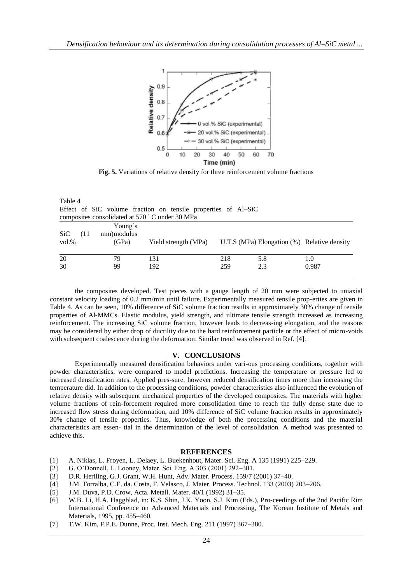

**Fig. 5.** Variations of relative density for three reinforcement volume fractions

| Table 4<br>Effect of SiC volume fraction on tensile properties of Al-SiC<br>composites consolidated at 570 °C under 30 MPa |      |                                 |                      |            |                                                |              |
|----------------------------------------------------------------------------------------------------------------------------|------|---------------------------------|----------------------|------------|------------------------------------------------|--------------|
| SiC<br>$vol.$ %                                                                                                            | (11) | Young's<br>mm) modulus<br>(GPa) | Yield strength (MPa) |            | U.T.S (MPa) Elongation $(\%)$ Relative density |              |
| 20<br>30                                                                                                                   |      | 79<br>99                        | 131<br>192           | 218<br>259 | 5.8<br>2.3                                     | 1.0<br>0.987 |

the composites developed. Test pieces with a gauge length of 20 mm were subjected to uniaxial constant velocity loading of 0.2 mm/min until failure. Experimentally measured tensile prop-erties are given in Table 4. As can be seen, 10% difference of SiC volume fraction results in approximately 30% change of tensile properties of Al-MMCs. Elastic modulus, yield strength, and ultimate tensile strength increased as increasing reinforcement. The increasing SiC volume fraction, however leads to decreas-ing elongation, and the reasons may be considered by either drop of ductility due to the hard reinforcement particle or the effect of micro-voids with subsequent coalescence during the deformation. Similar trend was observed in Ref. [4].

#### **V. CONCLUSIONS**

Experimentally measured densification behaviors under vari-ous processing conditions, together with powder characteristics, were compared to model predictions. Increasing the temperature or pressure led to increased densification rates. Applied pres-sure, however reduced densification times more than increasing the temperature did. In addition to the processing conditions, powder characteristics also influenced the evolution of relative density with subsequent mechanical properties of the developed composites. The materials with higher volume fractions of rein-forcement required more consolidation time to reach the fully dense state due to increased flow stress during deformation, and 10% difference of SiC volume fraction results in approximately 30% change of tensile properties. Thus, knowledge of both the processing conditions and the material characteristics are essen- tial in the determination of the level of consolidation. A method was presented to achieve this.

#### **REFERENCES**

- [1] A. Niklas, L. Froyen, L. Delaey, L. Buekenhout, Mater. Sci. Eng. A 135 (1991) 225–229.
- [2] G. O'Donnell, L. Looney, Mater. Sci. Eng. A 303 (2001) 292–301.
- [3] D.R. Heriling, G.J. Grant, W.H. Hunt, Adv. Mater. Process. 159/7 (2001) 37–40.
- [4] J.M. Torralba, C.E. da. Costa, F. Velasco, J. Mater. Process. Technol. 133 (2003) 203–206.
- [5] J.M. Duva, P.D. Crow, Acta. Metall. Mater. 40/1 (1992) 31–35.
- [6] W.B. Li, H.A. Haggblad, in: K.S. Shin, J.K. Yoon, S.J. Kim (Eds.), Pro-ceedings of the 2nd Pacific Rim International Conference on Advanced Materials and Processing, The Korean Institute of Metals and Materials, 1995, pp. 455–460.
- [7] T.W. Kim, F.P.E. Dunne, Proc. Inst. Mech. Eng. 211 (1997) 367–380.